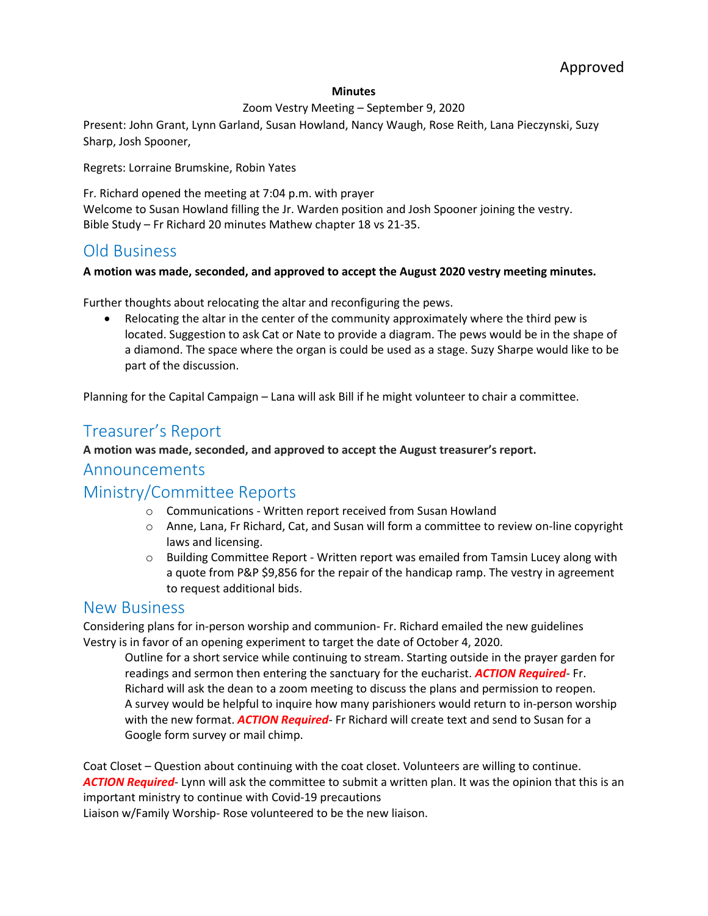#### **Minutes**

### Zoom Vestry Meeting – September 9, 2020

Present: John Grant, Lynn Garland, Susan Howland, Nancy Waugh, Rose Reith, Lana Pieczynski, Suzy Sharp, Josh Spooner,

Regrets: Lorraine Brumskine, Robin Yates

Fr. Richard opened the meeting at 7:04 p.m. with prayer Welcome to Susan Howland filling the Jr. Warden position and Josh Spooner joining the vestry. Bible Study – Fr Richard 20 minutes Mathew chapter 18 vs 21-35.

## Old Business

### **A motion was made, seconded, and approved to accept the August 2020 vestry meeting minutes.**

Further thoughts about relocating the altar and reconfiguring the pews.

• Relocating the altar in the center of the community approximately where the third pew is located. Suggestion to ask Cat or Nate to provide a diagram. The pews would be in the shape of a diamond. The space where the organ is could be used as a stage. Suzy Sharpe would like to be part of the discussion.

Planning for the Capital Campaign – Lana will ask Bill if he might volunteer to chair a committee.

# Treasurer's Report

### **A motion was made, seconded, and approved to accept the August treasurer's report.**

## Announcements

## Ministry/Committee Reports

- o Communications Written report received from Susan Howland
- o Anne, Lana, Fr Richard, Cat, and Susan will form a committee to review on-line copyright laws and licensing.
- $\circ$  Building Committee Report Written report was emailed from Tamsin Lucey along with a quote from P&P \$9,856 for the repair of the handicap ramp. The vestry in agreement to request additional bids.

### New Business

Considering plans for in-person worship and communion- Fr. Richard emailed the new guidelines Vestry is in favor of an opening experiment to target the date of October 4, 2020.

Outline for a short service while continuing to stream. Starting outside in the prayer garden for readings and sermon then entering the sanctuary for the eucharist. *ACTION Required*- Fr. Richard will ask the dean to a zoom meeting to discuss the plans and permission to reopen. A survey would be helpful to inquire how many parishioners would return to in-person worship with the new format. *ACTION Required*- Fr Richard will create text and send to Susan for a Google form survey or mail chimp.

Coat Closet – Question about continuing with the coat closet. Volunteers are willing to continue. *ACTION Required*- Lynn will ask the committee to submit a written plan. It was the opinion that this is an important ministry to continue with Covid-19 precautions

Liaison w/Family Worship- Rose volunteered to be the new liaison.